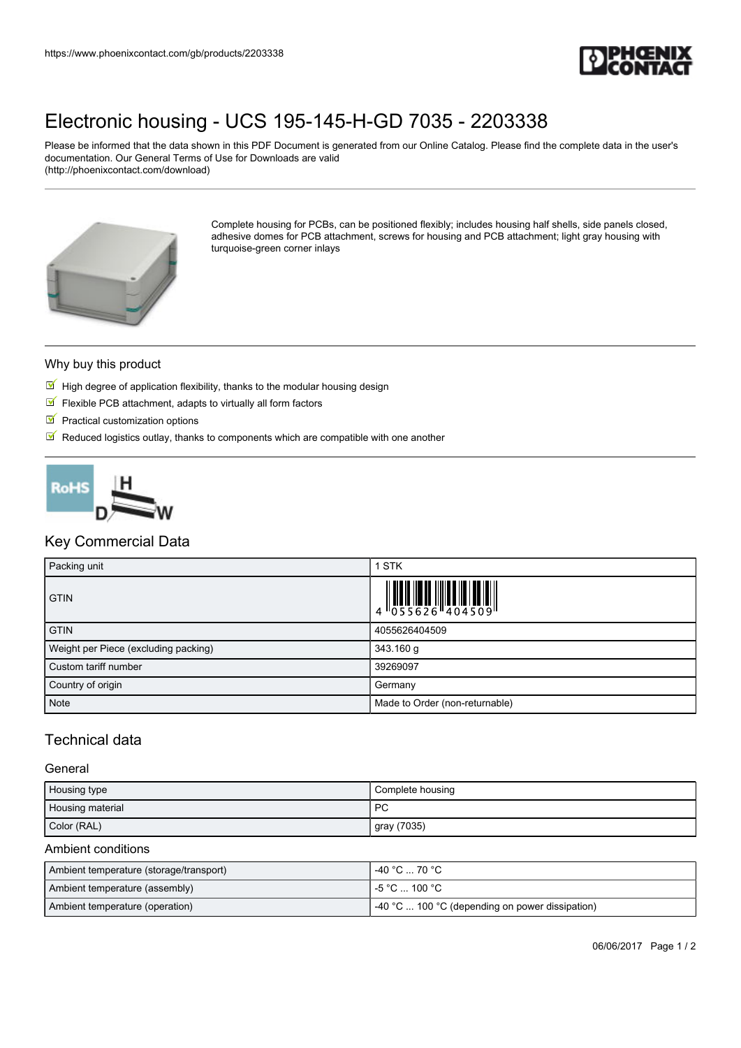

# [Electronic housing - UCS 195-145-H-GD 7035 - 2203338](https://www.phoenixcontact.com/gb/products/2203338)

Please be informed that the data shown in this PDF Document is generated from our Online Catalog. Please find the complete data in the user's documentation. Our General Terms of Use for Downloads are valid (http://phoenixcontact.com/download)



Complete housing for PCBs, can be positioned flexibly; includes housing half shells, side panels closed, adhesive domes for PCB attachment, screws for housing and PCB attachment; light gray housing with turquoise-green corner inlays

#### Why buy this product

- $\mathbb F$  High degree of application flexibility, thanks to the modular housing design
- $\blacksquare$  Flexible PCB attachment, adapts to virtually all form factors
- $\blacksquare$  Practical customization options
- $\blacksquare$  Reduced logistics outlay, thanks to components which are compatible with one another



## Key Commercial Data

| Packing unit                         | 1 STK                                                                                                                                                                                                                                                                                                                    |
|--------------------------------------|--------------------------------------------------------------------------------------------------------------------------------------------------------------------------------------------------------------------------------------------------------------------------------------------------------------------------|
| <b>GTIN</b>                          | $\begin{array}{c} 1 & 0 & 0 & 0 \\ 0 & 0 & 5 & 5 & 6 & 2 & 6 \\ 0 & 0 & 5 & 5 & 6 & 2 & 6 \\ 0 & 0 & 0 & 0 & 0 & 4 & 5 & 0 \\ 0 & 0 & 0 & 0 & 0 & 0 & 0 \\ 0 & 0 & 0 & 0 & 0 & 0 & 0 \\ 0 & 0 & 0 & 0 & 0 & 0 & 0 \\ 0 & 0 & 0 & 0 & 0 & 0 & 0 \\ 0 & 0 & 0 & 0 & 0 & 0 & 0 \\ 0 & 0 & 0 & 0 & 0 & 0 & 0 \\ 0 & 0 & 0 &$ |
| <b>GTIN</b>                          | 4055626404509                                                                                                                                                                                                                                                                                                            |
| Weight per Piece (excluding packing) | 343.160 g                                                                                                                                                                                                                                                                                                                |
| Custom tariff number                 | 39269097                                                                                                                                                                                                                                                                                                                 |
| Country of origin                    | Germany                                                                                                                                                                                                                                                                                                                  |
| <b>Note</b>                          | Made to Order (non-returnable)                                                                                                                                                                                                                                                                                           |

## Technical data

#### **General**

| Housing type     | Complete housing |
|------------------|------------------|
| Housing material | PC               |
| Color (RAL)      | gray (7035)      |

#### Ambient conditions

| Ambient temperature (storage/transport) | -40 °C … 70 °C                                        |
|-----------------------------------------|-------------------------------------------------------|
| Ambient temperature (assembly)          | l -5 °C  100 °C .                                     |
| Ambient temperature (operation)         | $\sim$ 40 °C  100 °C (depending on power dissipation) |